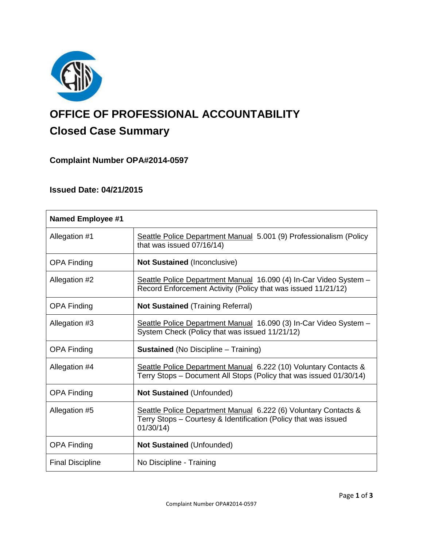

# **OFFICE OF PROFESSIONAL ACCOUNTABILITY Closed Case Summary**

# **Complaint Number OPA#2014-0597**

# **Issued Date: 04/21/2015**

| <b>Named Employee #1</b> |                                                                                                                                                |
|--------------------------|------------------------------------------------------------------------------------------------------------------------------------------------|
| Allegation #1            | Seattle Police Department Manual 5.001 (9) Professionalism (Policy<br>that was issued 07/16/14)                                                |
| <b>OPA Finding</b>       | <b>Not Sustained (Inconclusive)</b>                                                                                                            |
| Allegation #2            | Seattle Police Department Manual 16.090 (4) In-Car Video System -<br>Record Enforcement Activity (Policy that was issued 11/21/12)             |
| <b>OPA Finding</b>       | <b>Not Sustained</b> (Training Referral)                                                                                                       |
| Allegation #3            | Seattle Police Department Manual 16.090 (3) In-Car Video System -<br>System Check (Policy that was issued 11/21/12)                            |
| <b>OPA Finding</b>       | <b>Sustained</b> (No Discipline – Training)                                                                                                    |
| Allegation #4            | Seattle Police Department Manual 6.222 (10) Voluntary Contacts &<br>Terry Stops - Document All Stops (Policy that was issued 01/30/14)         |
| <b>OPA Finding</b>       | <b>Not Sustained (Unfounded)</b>                                                                                                               |
| Allegation #5            | Seattle Police Department Manual 6.222 (6) Voluntary Contacts &<br>Terry Stops - Courtesy & Identification (Policy that was issued<br>01/30/14 |
| <b>OPA Finding</b>       | <b>Not Sustained (Unfounded)</b>                                                                                                               |
| <b>Final Discipline</b>  | No Discipline - Training                                                                                                                       |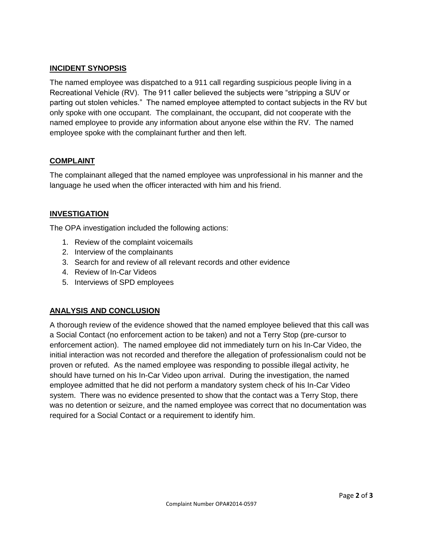# **INCIDENT SYNOPSIS**

The named employee was dispatched to a 911 call regarding suspicious people living in a Recreational Vehicle (RV). The 911 caller believed the subjects were "stripping a SUV or parting out stolen vehicles." The named employee attempted to contact subjects in the RV but only spoke with one occupant. The complainant, the occupant, did not cooperate with the named employee to provide any information about anyone else within the RV. The named employee spoke with the complainant further and then left.

# **COMPLAINT**

The complainant alleged that the named employee was unprofessional in his manner and the language he used when the officer interacted with him and his friend.

# **INVESTIGATION**

The OPA investigation included the following actions:

- 1. Review of the complaint voicemails
- 2. Interview of the complainants
- 3. Search for and review of all relevant records and other evidence
- 4. Review of In-Car Videos
- 5. Interviews of SPD employees

# **ANALYSIS AND CONCLUSION**

A thorough review of the evidence showed that the named employee believed that this call was a Social Contact (no enforcement action to be taken) and not a Terry Stop (pre-cursor to enforcement action). The named employee did not immediately turn on his In-Car Video, the initial interaction was not recorded and therefore the allegation of professionalism could not be proven or refuted. As the named employee was responding to possible illegal activity, he should have turned on his In-Car Video upon arrival. During the investigation, the named employee admitted that he did not perform a mandatory system check of his In-Car Video system. There was no evidence presented to show that the contact was a Terry Stop, there was no detention or seizure, and the named employee was correct that no documentation was required for a Social Contact or a requirement to identify him.